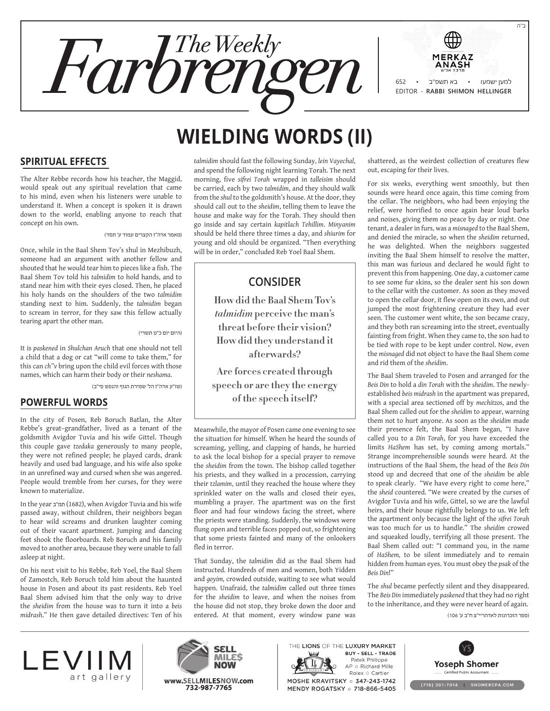

# **Wielding Words (II)**

#### **Spiritual Effects**

The Alter Rebbe records how his teacher, the Maggid, would speak out any spiritual revelation that came to his mind, even when his listeners were unable to understand it. When a concept is spoken it is drawn down to the world, enabling anyone to reach that concept on his own.

)מאמר אדה"ז הקצרים עמוד ע' תסד(

Once, while in the Baal Shem Tov's shul in Mezhibuzh, someone had an argument with another fellow and shouted that he would tear him to pieces like a fish. The Baal Shem Tov told his *talmidim* to hold hands, and to stand near him with their eyes closed. Then, he placed his holy hands on the shoulders of the two *talmidim* standing next to him. Suddenly, the *talmidim* began to scream in terror, for they saw this fellow actually tearing apart the other man.

)היום יום כ"ט תשרי(

It is *paskened* in *Shulchan Aruch* that one should not tell a child that a dog or cat "will come to take them," for this can *ch"v* bring upon the child evil forces with those names, which can harm their body or their *neshama*.

)שו"ע אדה"ז הל' שמירת הגוף והנפש סי"ב(

#### **Powerful Words**

In the city of Posen, Reb Boruch Batlan, the Alter Rebbe's great–grandfather, lived as a tenant of the goldsmith Avigdor Tuvia and his wife Gittel. Though this couple gave *tzedaka* generously to many people, they were not refined people; he played cards, drank heavily and used bad language, and his wife also spoke in an unrefined way and cursed when she was angered. People would tremble from her curses, for they were known to materialize.

In the year תמ"ב (1682), when Avigdor Tuvia and his wife passed away, without children, their neighbors began to hear wild screams and drunken laughter coming out of their vacant apartment. Jumping and dancing feet shook the floorboards. Reb Boruch and his family moved to another area, because they were unable to fall asleep at night.

On his next visit to his Rebbe, Reb Yoel, the Baal Shem of Zamostch, Reb Boruch told him about the haunted house in Posen and about its past residents. Reb Yoel Baal Shem advised him that the only way to drive the *sheidim* from the house was to turn it into a *beis midrash*." He then gave detailed directives: Ten of his

*talmidim* should fast the following Sunday, *lein Vayechal*, and spend the following night learning Torah. The next morning, five *sifrei Torah* wrapped in *talleisim* should be carried, each by two *talmidim*, and they should walk from the *shul* to the goldsmith's house. At the door, they should call out to the *sheidim*, telling them to leave the house and make way for the Torah. They should then go inside and say certain *kapitlach Tehillim*. *Minyanim* should be held there three times a day, and *shiurim* for young and old should be organized. "Then everything will be in order," concluded Reb Yoel Baal Shem.

## **Consider**

**How did the Baal Shem Tov's**  *talmidim* **perceive the man's threat before their vision? How did they understand it afterwards?**

**Are forces created through speech or are they the energy of the speech itself?**

Meanwhile, the mayor of Posen came one evening to see the situation for himself. When he heard the sounds of screaming, yelling, and clapping of hands, he hurried to ask the local bishop for a special prayer to remove the *sheidim* from the town. The bishop called together his priests, and they walked in a procession, carrying their *tzlamim*, until they reached the house where they sprinkled water on the walls and closed their eyes, mumbling a prayer. The apartment was on the first floor and had four windows facing the street, where the priests were standing. Suddenly, the windows were flung open and terrible faces popped out, so frightening that some priests fainted and many of the onlookers fled in terror.

That Sunday, the *talmidim* did as the Baal Shem had instructed. Hundreds of men and women, both Yidden and *goyim,* crowded outside, waiting to see what would happen. Unafraid, the *talmidim* called out three times for the *sheidim* to leave, and when the noises from the house did not stop, they broke down the door and entered. At that moment, every window pane was

shattered, as the weirdest collection of creatures flew out, escaping for their lives.

For six weeks, everything went smoothly, but then sounds were heard once again, this time coming from the cellar. The neighbors, who had been enjoying the relief, were horrified to once again hear loud barks and noises, giving them no peace by day or night. One tenant, a dealer in furs, was a *misnaged* to the Baal Shem, and denied the miracle, so when the *sheidim* returned, he was delighted. When the neighbors suggested inviting the Baal Shem himself to resolve the matter, this man was furious and declared he would fight to prevent this from happening. One day, a customer came to see some fur skins, so the dealer sent his son down to the cellar with the customer. As soon as they moved to open the cellar door, it flew open on its own, and out jumped the most frightening creature they had ever seen. The customer went white, the son became crazy, and they both ran screaming into the street, eventually fainting from fright. When they came to, the son had to be tied with rope to be kept under control. Now, even the *misnaged* did not object to have the Baal Shem come and rid them of the *sheidim*.

The Baal Shem traveled to Posen and arranged for the *Beis Din* to hold a *din Torah* with the *sheidim*. The newlyestablished *beis midrash* in the apartment was prepared, with a special area sectioned off by *mechitzos*, and the Baal Shem called out for the *sheidim* to appear, warning them not to hurt anyone. As soon as the *sheidim* made their presence felt, the Baal Shem began, "I have called you to a *Din Torah*, for you have exceeded the limits *HaShem* has set, by coming among mortals." Strange incomprehensible sounds were heard. At the instructions of the Baal Shem, the head of the *Beis Din* stood up and decreed that one of the *sheidim* be able to speak clearly. "We have every right to come here," the *sheid* countered. "We were created by the curses of Avigdor Tuvia and his wife, Gittel, so we are the lawful heirs, and their house rightfully belongs to us. We left the apartment only because the light of the *sifrei Torah* was too much for us to handle." The *sheidim* crowed and squeaked loudly, terrifying all those present. The Baal Shem called out: "I command you, in the name of *HaShem,* to be silent immediately and to remain hidden from human eyes. You must obey the *psak* of the *Beis Din*!"

The *shul* became perfectly silent and they disappeared. The *Beis Din* immediately *paskened* that they had no right to the inheritance, and they were never heard of again.

)ספר הזכרונות לאדהריי"צ ח"ב ע' 106(





THE LIONS OF THE LUXURY MARKET **BUY - SELL - TRADE** Patek Philippe  $AP \circ Richard$  Mille<br>Rolex  $\circ$  Cartier MOSHE KRAVITSKY o 347-243-1742 MENDY ROGATSKY o 718-866-5405